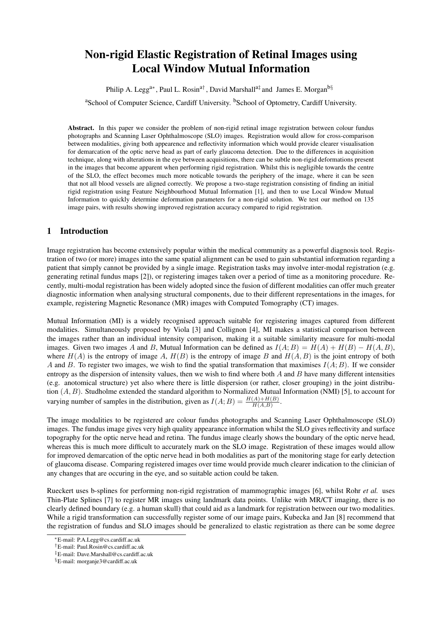# Non-rigid Elastic Registration of Retinal Images using Local Window Mutual Information

Philip A. Legg<sup>a∗</sup>, Paul L. Rosin<sup>a†</sup>, David Marshall<sup>a‡</sup> and James E. Morgan<sup>b§</sup>

<sup>a</sup>School of Computer Science, Cardiff University, <sup>b</sup>School of Optometry, Cardiff University.

Abstract. In this paper we consider the problem of non-rigid retinal image registration between colour fundus photographs and Scanning Laser Ophthalmoscope (SLO) images. Registration would allow for cross-comparison between modalities, giving both appearence and reflectivity information which would provide clearer visualisation for demarcation of the optic nerve head as part of early glaucoma detection. Due to the differences in acquisition technique, along with alterations in the eye between acquisitions, there can be subtle non-rigid deformations present in the images that become apparent when performing rigid registration. Whilst this is negligible towards the centre of the SLO, the effect becomes much more noticable towards the periphery of the image, where it can be seen that not all blood vessels are aligned correctly. We propose a two-stage registration consisting of finding an initial rigid registration using Feature Neighbourhood Mutual Information [1], and then to use Local Window Mutual Information to quickly determine deformation parameters for a non-rigid solution. We test our method on 135 image pairs, with results showing improved registration accuracy compared to rigid registration.

## 1 Introduction

Image registration has become extensively popular within the medical community as a powerful diagnosis tool. Registration of two (or more) images into the same spatial alignment can be used to gain substantial information regarding a patient that simply cannot be provided by a single image. Registration tasks may involve inter-modal registration (e.g. generating retinal fundus maps [2]), or registering images taken over a period of time as a monitoring procedure. Recently, multi-modal registration has been widely adopted since the fusion of different modalities can offer much greater diagnostic information when analysing structural components, due to their different representations in the images, for example, registering Magnetic Resonance (MR) images with Computed Tomography (CT) images.

Mutual Information (MI) is a widely recognised approach suitable for registering images captured from different modalities. Simultaneously proposed by Viola [3] and Collignon [4], MI makes a statistical comparison between the images rather than an individual intensity comparison, making it a suitable similarity measure for multi-modal images. Given two images A and B, Mutual Information can be defined as  $I(A; B) = H(A) + H(B) - H(A, B)$ , where  $H(A)$  is the entropy of image A,  $H(B)$  is the entropy of image B and  $H(A, B)$  is the joint entropy of both A and B. To register two images, we wish to find the spatial transformation that maximises  $I(A; B)$ . If we consider entropy as the dispersion of intensity values, then we wish to find where both  $A$  and  $B$  have many different intensities (e.g. anotomical structure) yet also where there is little dispersion (or rather, closer grouping) in the joint distribution  $(A, B)$ . Studholme extended the standard algorithm to Normalized Mutual Information (NMI) [5], to account for varying number of samples in the distribution, given as  $I(A;B) = \frac{H(A) + H(B)}{H(A,B)}$ .

The image modalities to be registered are colour fundus photographs and Scanning Laser Ophthalmoscope (SLO) images. The fundus image gives very high quality appearance information whilst the SLO gives reflectivity and surface topography for the optic nerve head and retina. The fundus image clearly shows the boundary of the optic nerve head, whereas this is much more difficult to accurately mark on the SLO image. Registration of these images would allow for improved demarcation of the optic nerve head in both modalities as part of the monitoring stage for early detection of glaucoma disease. Comparing registered images over time would provide much clearer indication to the clinician of any changes that are occuring in the eye, and so suitable action could be taken.

Rueckert uses b-splines for performing non-rigid registration of mammographic images [6], whilst Rohr *et al.* uses Thin-Plate Splines [7] to register MR images using landmark data points. Unlike with MR/CT imaging, there is no clearly defined boundary (e.g. a human skull) that could aid as a landmark for registration between our two modalities. While a rigid transformation can successfully register some of our image pairs, Kubecka and Jan [8] recommend that the registration of fundus and SLO images should be generalized to elastic registration as there can be some degree

<sup>∗</sup>E-mail: P.A.Legg@cs.cardiff.ac.uk

<sup>†</sup>E-mail: Paul.Rosin@cs.cardiff.ac.uk

<sup>‡</sup>E-mail: Dave.Marshall@cs.cardiff.ac.uk

<sup>§</sup>E-mail: morganje3@cardiff.ac.uk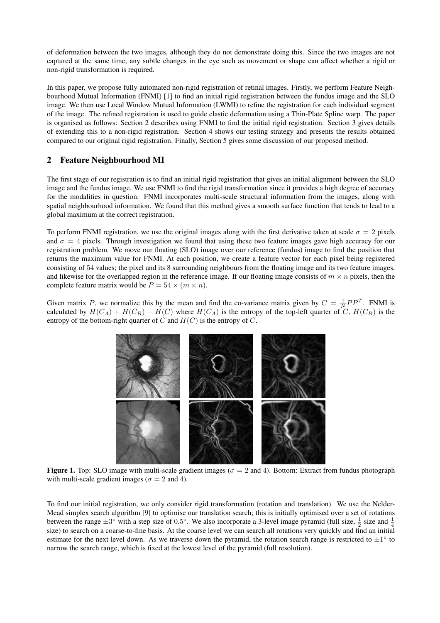of deformation between the two images, although they do not demonstrate doing this. Since the two images are not captured at the same time, any subtle changes in the eye such as movement or shape can affect whether a rigid or non-rigid transformation is required.

In this paper, we propose fully automated non-rigid registration of retinal images. Firstly, we perform Feature Neighbourhood Mutual Information (FNMI) [1] to find an initial rigid registration between the fundus image and the SLO image. We then use Local Window Mutual Information (LWMI) to refine the registration for each individual segment of the image. The refined registration is used to guide elastic deformation using a Thin-Plate Spline warp. The paper is organised as follows: Section 2 describes using FNMI to find the initial rigid registration. Section 3 gives details of extending this to a non-rigid registration. Section 4 shows our testing strategy and presents the results obtained compared to our original rigid registration. Finally, Section 5 gives some discussion of our proposed method.

#### 2 Feature Neighbourhood MI

The first stage of our registration is to find an initial rigid registration that gives an initial alignment between the SLO image and the fundus image. We use FNMI to find the rigid transformation since it provides a high degree of accuracy for the modalities in question. FNMI incorporates multi-scale structural information from the images, along with spatial neighbourhood information. We found that this method gives a smooth surface function that tends to lead to a global maximum at the correct registration.

To perform FNMI registration, we use the original images along with the first derivative taken at scale  $\sigma = 2$  pixels and  $\sigma = 4$  pixels. Through investigation we found that using these two feature images gave high accuracy for our registration problem. We move our floating (SLO) image over our reference (fundus) image to find the position that returns the maximum value for FNMI. At each position, we create a feature vector for each pixel being registered consisting of 54 values; the pixel and its 8 surrounding neighbours from the floating image and its two feature images, and likewise for the overlapped region in the reference image. If our floating image consists of  $m \times n$  pixels, then the complete feature matrix would be  $P = 54 \times (m \times n)$ .

Given matrix P, we normalize this by the mean and find the co-variance matrix given by  $C = \frac{1}{N}PP^{T}$ . FNMI is calculated by  $H(C_A) + H(C_B) - H(C)$  where  $H(C_A)$  is the entropy of the top-left quarter of C,  $H(C_B)$  is the entropy of the bottom-right quarter of  $C$  and  $H(C)$  is the entropy of  $\overline{C}$ .



Figure 1. Top: SLO image with multi-scale gradient images ( $\sigma = 2$  and 4). Bottom: Extract from fundus photograph with multi-scale gradient images ( $\sigma = 2$  and 4).

To find our initial registration, we only consider rigid transformation (rotation and translation). We use the Nelder-Mead simplex search algorithm [9] to optimise our translation search; this is initially optimised over a set of rotations between the range  $\pm 3^{\circ}$  with a step size of 0.5°. We also incorporate a 3-level image pyramid (full size,  $\frac{1}{2}$  size and  $\frac{1}{4}$ size) to search on a coarse-to-fine basis. At the coarse level we can search all rotations very quickly and find an initial estimate for the next level down. As we traverse down the pyramid, the rotation search range is restricted to  $\pm 1^{\circ}$  to narrow the search range, which is fixed at the lowest level of the pyramid (full resolution).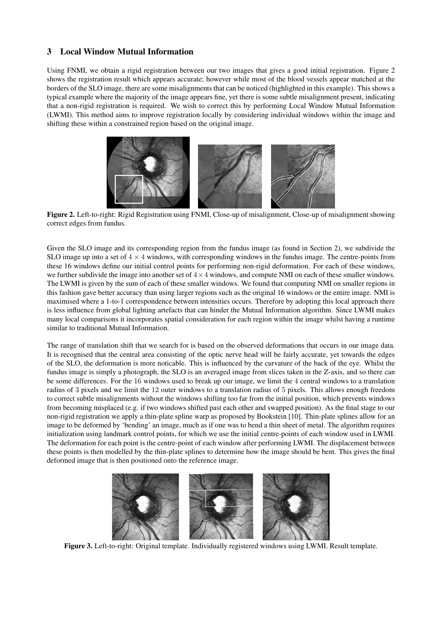## 3 Local Window Mutual Information

Using FNMI, we obtain a rigid registration between our two images that gives a good initial registration. Figure 2 shows the registration result which appears accurate; however while most of the blood vessels appear matched at the borders of the SLO image, there are some misalignments that can be noticed (highlighted in this example). This shows a typical example where the majority of the image appears fine, yet there is some subtle misalignment present, indicating that a non-rigid registration is required. We wish to correct this by performing Local Window Mutual Information (LWMI). This method aims to improve registration locally by considering individual windows within the image and shifting these within a constrained region based on the original image.



Figure 2. Left-to-right: Rigid Registration using FNMI, Close-up of misalignment, Close-up of misalignment showing correct edges from fundus.

Given the SLO image and its corresponding region from the fundus image (as found in Section 2), we subdivide the SLO image up into a set of  $4 \times 4$  windows, with corresponding windows in the fundus image. The centre-points from these 16 windows define our initial control points for performing non-rigid deformation. For each of these windows, we further subdivide the image into another set of  $4 \times 4$  windows, and compute NMI on each of these smaller windows. The LWMI is given by the sum of each of these smaller windows. We found that computing NMI on smaller regions in this fashion gave better accuracy than using larger regions such as the original 16 windows or the entire image. NMI is maximised where a 1-to-1 correspondence between intensities occurs. Therefore by adopting this local approach there is less influence from global lighting artefacts that can hinder the Mutual Information algorithm. Since LWMI makes many local comparisons it incorporates spatial consideration for each region within the image whilst having a runtime similar to traditional Mutual Information.

The range of translation shift that we search for is based on the observed deformations that occurs in our image data. It is recognised that the central area consisting of the optic nerve head will be fairly accurate, yet towards the edges of the SLO, the deformation is more noticable. This is influenced by the curvature of the back of the eye. Whilst the fundus image is simply a photograph, the SLO is an averaged image from slices taken in the Z-axis, and so there can be some differences. For the 16 windows used to break up our image, we limit the 4 central windows to a translation radius of 3 pixels and we limit the 12 outer windows to a translation radius of 5 pixels. This allows enough freedom to correct subtle misalignments without the windows shifting too far from the initial position, which prevents windows from becoming misplaced (e.g. if two windows shifted past each other and swapped position). As the final stage to our non-rigid registration we apply a thin-plate spline warp as proposed by Bookstein [10]. Thin-plate splines allow for an image to be deformed by 'bending' an image, much as if one was to bend a thin sheet of metal. The algorithm requires initialization using landmark control points, for which we use the initial centre-points of each window used in LWMI. The deformation for each point is the centre-point of each window after performing LWMI. The displacement between these points is then modelled by the thin-plate splines to determine how the image should be bent. This gives the final deformed image that is then positioned onto the reference image.



Figure 3. Left-to-right: Original template. Individually registered windows using LWMI. Result template.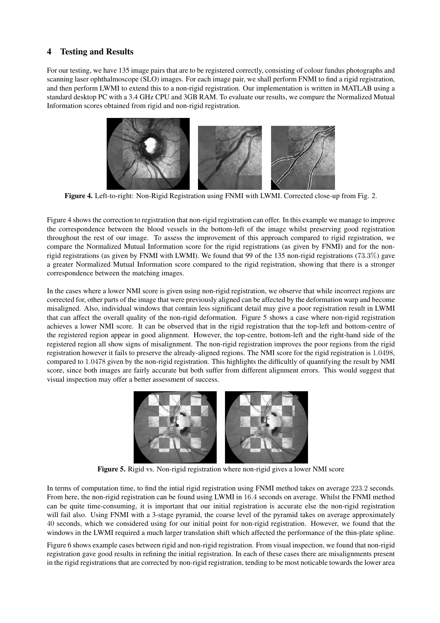## 4 Testing and Results

For our testing, we have 135 image pairs that are to be registered correctly, consisting of colour fundus photographs and scanning laser ophthalmoscope (SLO) images. For each image pair, we shall perform FNMI to find a rigid registration, and then perform LWMI to extend this to a non-rigid registration. Our implementation is written in MATLAB using a standard desktop PC with a 3.4 GHz CPU and 3GB RAM. To evaluate our results, we compare the Normalized Mutual Information scores obtained from rigid and non-rigid registration.



Figure 4. Left-to-right: Non-Rigid Registration using FNMI with LWMI. Corrected close-up from Fig. 2.

Figure 4 shows the correction to registration that non-rigid registration can offer. In this example we manage to improve the correspondence between the blood vessels in the bottom-left of the image whilst preserving good registration throughout the rest of our image. To assess the improvement of this approach compared to rigid registration, we compare the Normalized Mutual Information score for the rigid registrations (as given by FNMI) and for the nonrigid registrations (as given by FNMI with LWMI). We found that 99 of the 135 non-rigid registrations (73.3%) gave a greater Normalized Mutual Information score compared to the rigid registration, showing that there is a stronger correspondence between the matching images.

In the cases where a lower NMI score is given using non-rigid registration, we observe that while incorrect regions are corrected for, other parts of the image that were previously aligned can be affected by the deformation warp and become misaligned. Also, individual windows that contain less significant detail may give a poor registration result in LWMI that can affect the overall quality of the non-rigid deformation. Figure 5 shows a case where non-rigid registration achieves a lower NMI score. It can be observed that in the rigid registration that the top-left and bottom-centre of the registered region appear in good alignment. However, the top-centre, bottom-left and the right-hand side of the registered region all show signs of misalignment. The non-rigid registration improves the poor regions from the rigid registration however it fails to preserve the already-aligned regions. The NMI score for the rigid registration is 1.0498, compared to 1.0478 given by the non-rigid registration. This highlights the difficultly of quantifying the result by NMI score, since both images are fairly accurate but both suffer from different alignment errors. This would suggest that visual inspection may offer a better assessment of success.



Figure 5. Rigid vs. Non-rigid registration where non-rigid gives a lower NMI score

In terms of computation time, to find the intial rigid registration using FNMI method takes on average 223.2 seconds. From here, the non-rigid registration can be found using LWMI in 16.4 seconds on average. Whilst the FNMI method can be quite time-consuming, it is important that our initial registration is accurate else the non-rigid registration will fail also. Using FNMI with a 3-stage pyramid, the coarse level of the pyramid takes on average approximately 40 seconds, which we considered using for our initial point for non-rigid registration. However, we found that the windows in the LWMI required a much larger translation shift which affected the performance of the thin-plate spline.

Figure 6 shows example cases between rigid and non-rigid registration. From visual inspection, we found that non-rigid registration gave good results in refining the initial registration. In each of these cases there are misalignments present in the rigid registrations that are corrected by non-rigid registration, tending to be most noticable towards the lower area